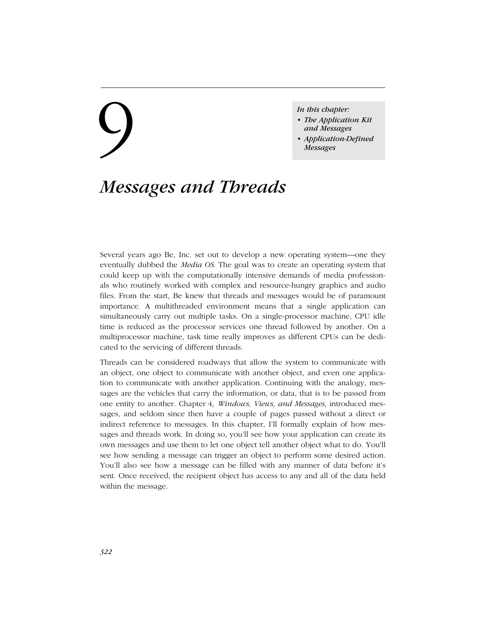# *In this chapter:*<br>
• *The Application Kit*<br> *and Messages*<br>
• *Application-Defined Messages*

*In this chapter:*

- *The Application Kit and Messages*
- 

# *Messages and Threads 9.*

Several years ago Be, Inc. set out to develop a new operating system—one they eventually dubbed the *Media OS*. The goal was to create an operating system that could keep up with the computationally intensive demands of media professionals who routinely worked with complex and resource-hungry graphics and audio files. From the start, Be knew that threads and messages would be of paramount importance. A multithreaded environment means that a single application can simultaneously carry out multiple tasks. On a single-processor machine, CPU idle time is reduced as the processor services one thread followed by another. On a multiprocessor machine, task time really improves as different CPUs can be dedicated to the servicing of different threads.

Threads can be considered roadways that allow the system to communicate with an object, one object to communicate with another object, and even one application to communicate with another application. Continuing with the analogy, messages are the vehicles that carry the information, or data, that is to be passed from one entity to another. Chapter 4, *Windows, Views, and Messages*, introduced messages, and seldom since then have a couple of pages passed without a direct or indirect reference to messages. In this chapter, I'll formally explain of how messages and threads work. In doing so, you'll see how your application can create its own messages and use them to let one object tell another object what to do. You'll see how sending a message can trigger an object to perform some desired action. You'll also see how a message can be filled with any manner of data before it's sent. Once received, the recipient object has access to any and all of the data held within the message.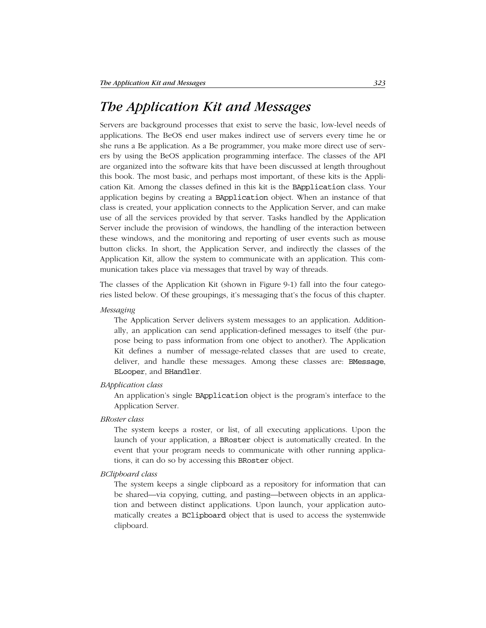# *The Application Kit and Messages*

Servers are background processes that exist to serve the basic, low-level needs of applications. The BeOS end user makes indirect use of servers every time he or she runs a Be application. As a Be programmer, you make more direct use of servers by using the BeOS application programming interface. The classes of the API are organized into the software kits that have been discussed at length throughout this book. The most basic, and perhaps most important, of these kits is the Application Kit. Among the classes defined in this kit is the BApplication class. Your application begins by creating a BApplication object. When an instance of that class is created, your application connects to the Application Server, and can make use of all the services provided by that server. Tasks handled by the Application Server include the provision of windows, the handling of the interaction between these windows, and the monitoring and reporting of user events such as mouse button clicks. In short, the Application Server, and indirectly the classes of the Application Kit, allow the system to communicate with an application. This communication takes place via messages that travel by way of threads.

The classes of the Application Kit (shown in Figure 9-1) fall into the four categories listed below. Of these groupings, it's messaging that's the focus of this chapter.

# *Messaging*

The Application Server delivers system messages to an application. Additionally, an application can send application-defined messages to itself (the purpose being to pass information from one object to another). The Application Kit defines a number of message-related classes that are used to create, deliver, and handle these messages. Among these classes are: BMessage, BLooper, and BHandler.

# *BApplication class*

An application's single BApplication object is the program's interface to the Application Server.

# *BRoster class*

The system keeps a roster, or list, of all executing applications. Upon the launch of your application, a BRoster object is automatically created. In the event that your program needs to communicate with other running applications, it can do so by accessing this BRoster object.

# *BClipboard class*

The system keeps a single clipboard as a repository for information that can be shared—via copying, cutting, and pasting—between objects in an application and between distinct applications. Upon launch, your application automatically creates a BClipboard object that is used to access the systemwide clipboard.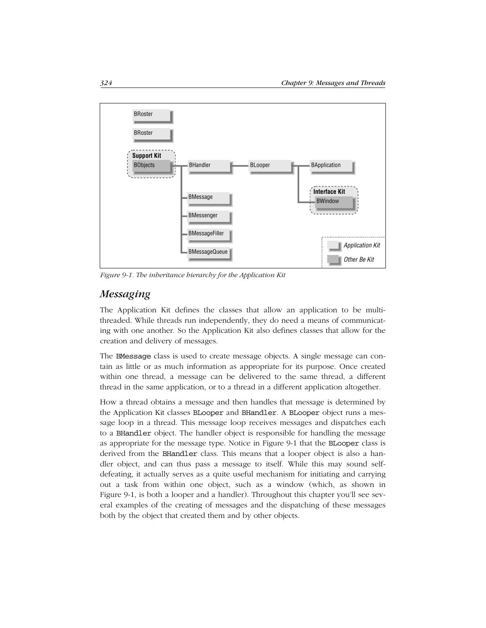

*Figure 9-1. The inheritance hierarchy for the Application Kit*

# *Messaging*

The Application Kit defines the classes that allow an application to be multithreaded. While threads run independently, they do need a means of communicating with one another. So the Application Kit also defines classes that allow for the creation and delivery of messages.

The BMessage class is used to create message objects. A single message can contain as little or as much information as appropriate for its purpose. Once created within one thread, a message can be delivered to the same thread, a different thread in the same application, or to a thread in a different application altogether.

How a thread obtains a message and then handles that message is determined by the Application Kit classes BLooper and BHandler. A BLooper object runs a message loop in a thread. This message loop receives messages and dispatches each to a BHandler object. The handler object is responsible for handling the message as appropriate for the message type. Notice in Figure 9-1 that the BLooper class is derived from the BHandler class. This means that a looper object is also a handler object, and can thus pass a message to itself. While this may sound selfdefeating, it actually serves as a quite useful mechanism for initiating and carrying out a task from within one object, such as a window (which, as shown in Figure 9-1, is both a looper and a handler). Throughout this chapter you'll see several examples of the creating of messages and the dispatching of these messages both by the object that created them and by other objects.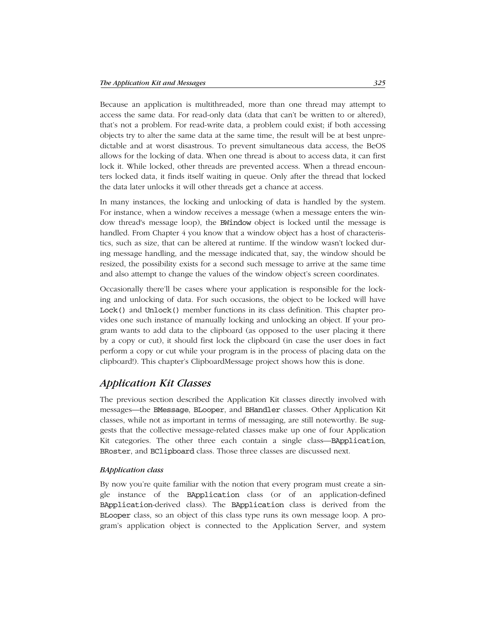Because an application is multithreaded, more than one thread may attempt to access the same data. For read-only data (data that can't be written to or altered), that's not a problem. For read-write data, a problem could exist; if both accessing objects try to alter the same data at the same time, the result will be at best unpredictable and at worst disastrous. To prevent simultaneous data access, the BeOS allows for the locking of data. When one thread is about to access data, it can first lock it. While locked, other threads are prevented access. When a thread encounters locked data, it finds itself waiting in queue. Only after the thread that locked the data later unlocks it will other threads get a chance at access.

In many instances, the locking and unlocking of data is handled by the system. For instance, when a window receives a message (when a message enters the window thread's message loop), the BWindow object is locked until the message is handled. From Chapter 4 you know that a window object has a host of characteristics, such as size, that can be altered at runtime. If the window wasn't locked during message handling, and the message indicated that, say, the window should be resized, the possibility exists for a second such message to arrive at the same time and also attempt to change the values of the window object's screen coordinates.

Occasionally there'll be cases where your application is responsible for the locking and unlocking of data. For such occasions, the object to be locked will have Lock() and Unlock() member functions in its class definition. This chapter provides one such instance of manually locking and unlocking an object. If your program wants to add data to the clipboard (as opposed to the user placing it there by a copy or cut), it should first lock the clipboard (in case the user does in fact perform a copy or cut while your program is in the process of placing data on the clipboard!). This chapter's ClipboardMessage project shows how this is done.

# *Application Kit Classes*

The previous section described the Application Kit classes directly involved with messages—the BMessage, BLooper, and BHandler classes. Other Application Kit classes, while not as important in terms of messaging, are still noteworthy. Be suggests that the collective message-related classes make up one of four Application Kit categories. The other three each contain a single class—BApplication, BRoster, and BClipboard class. Those three classes are discussed next.

# *BApplication class*

By now you're quite familiar with the notion that every program must create a single instance of the BApplication class (or of an application-defined BApplication-derived class). The BApplication class is derived from the BLooper class, so an object of this class type runs its own message loop. A program's application object is connected to the Application Server, and system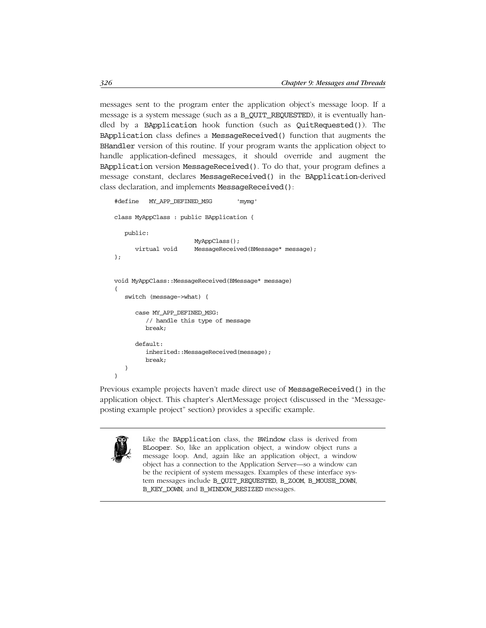messages sent to the program enter the application object's message loop. If a message is a system message (such as a B\_QUIT\_REQUESTED), it is eventually handled by a BApplication hook function (such as QuitRequested()). The BApplication class defines a MessageReceived() function that augments the BHandler version of this routine. If your program wants the application object to handle application-defined messages, it should override and augment the BApplication version MessageReceived(). To do that, your program defines a message constant, declares MessageReceived() in the BApplication-derived class declaration, and implements MessageReceived():

```
#define MY_APP_DEFINED_MSG 'mymg'
class MyAppClass : public BApplication {
   public:
                        MyAppClass();
       virtual void MessageReceived(BMessage* message);
};
void MyAppClass::MessageReceived(BMessage* message)
{
    switch (message->what) {
       case MY_APP_DEFINED_MSG:
          // handle this type of message
         break;
       default:
          inherited::MessageReceived(message);
          break;
    }
}
```
Previous example projects haven't made direct use of MessageReceived() in the application object. This chapter's AlertMessage project (discussed in the "Messageposting example project" section) provides a specific example.



Like the BApplication class, the BWindow class is derived from BLooper. So, like an application object, a window object runs a message loop. And, again like an application object, a window object has a connection to the Application Server—so a window can be the recipient of system messages. Examples of these interface system messages include B\_QUIT\_REQUESTED, B\_ZOOM, B\_MOUSE\_DOWN, B\_KEY\_DOWN, and B\_WINDOW\_RESIZED messages.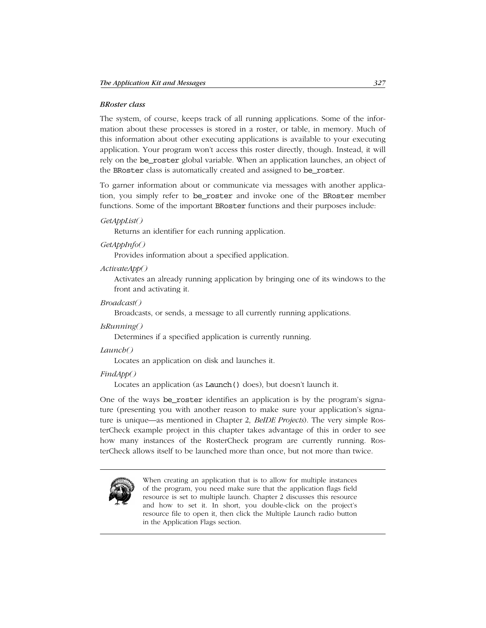# *BRoster class*

The system, of course, keeps track of all running applications. Some of the information about these processes is stored in a roster, or table, in memory. Much of this information about other executing applications is available to your executing application. Your program won't access this roster directly, though. Instead, it will rely on the be\_roster global variable. When an application launches, an object of the BRoster class is automatically created and assigned to be\_roster.

To garner information about or communicate via messages with another application, you simply refer to be\_roster and invoke one of the BRoster member functions. Some of the important BRoster functions and their purposes include:

# *GetAppList()*

Returns an identifier for each running application.

*GetAppInfo()*

Provides information about a specified application.

*ActivateApp()*

Activates an already running application by bringing one of its windows to the front and activating it.

### *Broadcast()*

Broadcasts, or sends, a message to all currently running applications.

# *IsRunning()*

Determines if a specified application is currently running.

# *Launch()*

Locates an application on disk and launches it.

# *FindApp()*

Locates an application (as Launch() does), but doesn't launch it.

One of the ways be\_roster identifies an application is by the program's signature (presenting you with another reason to make sure your application's signature is unique—as mentioned in Chapter 2, *BeIDE Projects*). The very simple RosterCheck example project in this chapter takes advantage of this in order to see how many instances of the RosterCheck program are currently running. RosterCheck allows itself to be launched more than once, but not more than twice.



When creating an application that is to allow for multiple instances of the program, you need make sure that the application flags field resource is set to multiple launch. Chapter 2 discusses this resource and how to set it. In short, you double-click on the project's resource file to open it, then click the Multiple Launch radio button in the Application Flags section.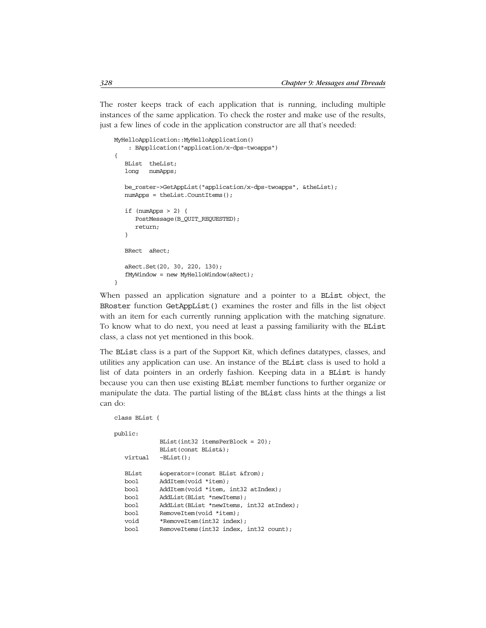The roster keeps track of each application that is running, including multiple instances of the same application. To check the roster and make use of the results, just a few lines of code in the application constructor are all that's needed:

```
MyHelloApplication::MyHelloApplication()
     : BApplication("application/x-dps-twoapps")
{
    BList theList;
    long numApps;
    be_roster->GetAppList("application/x-dps-twoapps", &theList);
   numApps = theList.CountItems();
    if (numApps > 2) {
       PostMessage(B_QUIT_REQUESTED);
       return;
    }
    BRect aRect;
    aRect.Set(20, 30, 220, 130);
    fMyWindow = new MyHelloWindow(aRect);
}
```
When passed an application signature and a pointer to a BList object, the BRoster function GetAppList() examines the roster and fills in the list object with an item for each currently running application with the matching signature. To know what to do next, you need at least a passing familiarity with the BList class, a class not yet mentioned in this book.

The BList class is a part of the Support Kit, which defines datatypes, classes, and utilities any application can use. An instance of the BList class is used to hold a list of data pointers in an orderly fashion. Keeping data in a BList is handy because you can then use existing BList member functions to further organize or manipulate the data. The partial listing of the BList class hints at the things a list can do:

```
class BList {
public:
             BList(int32 itemsPerBlock = 20);
             BList(const BList&);
    virtual ~BList();
   BList &operator=(const BList &from);
   bool AddItem(void *item);
   bool AddItem(void *item, int32 atIndex);
   bool AddList(BList *newItems);
  bool AddList(BList *newItems, int32 atIndex);
   bool RemoveItem(void *item);
   void *RemoveItem(int32 index);
   bool RemoveItems(int32 index, int32 count);
```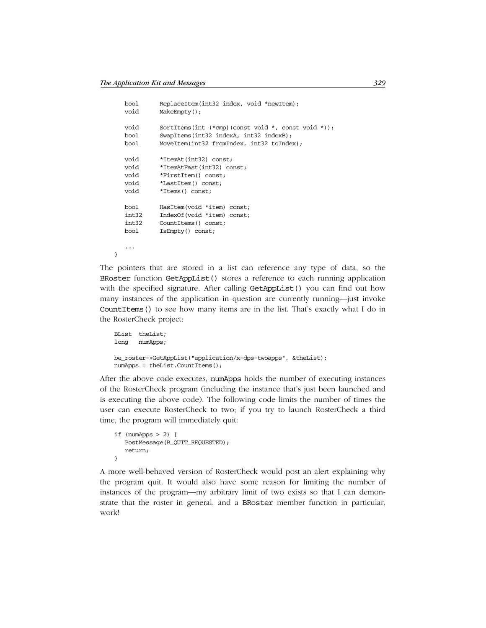}

```
 bool ReplaceItem(int32 index, void *newItem);
 void MakeEmpty();
void SortItems(int (*cmp)(const void *, const void *));
 bool SwapItems(int32 indexA, int32 indexB);
 bool MoveItem(int32 fromIndex, int32 toIndex);
 void *ItemAt(int32) const;
 void *ItemAtFast(int32) const;
 void *FirstItem() const;
 void *LastItem() const;
 void *Items() const;
 bool HasItem(void *item) const;
 int32 IndexOf(void *item) const;
 int32 CountItems() const;
 bool IsEmpty() const;
 ...
```
The pointers that are stored in a list can reference any type of data, so the BRoster function GetAppList() stores a reference to each running application with the specified signature. After calling GetAppList() you can find out how many instances of the application in question are currently running—just invoke CountItems() to see how many items are in the list. That's exactly what I do in the RosterCheck project:

```
BList theList;
long numApps;
be_roster->GetAppList("application/x-dps-twoapps", &theList);
numApps = theList.CountItems();
```
After the above code executes, numApps holds the number of executing instances of the RosterCheck program (including the instance that's just been launched and is executing the above code). The following code limits the number of times the user can execute RosterCheck to two; if you try to launch RosterCheck a third time, the program will immediately quit:

```
if (numApps > 2) {
  PostMessage(B_QUIT_REQUESTED);
    return;
}
```
A more well-behaved version of RosterCheck would post an alert explaining why the program quit. It would also have some reason for limiting the number of instances of the program—my arbitrary limit of two exists so that I can demonstrate that the roster in general, and a BRoster member function in particular, work!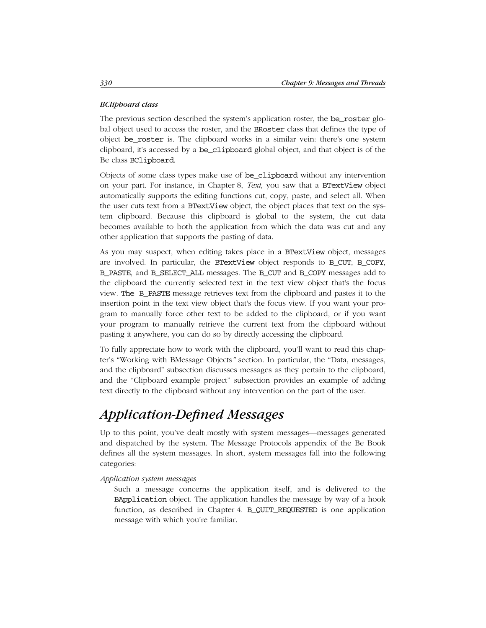# *BClipboard class*

The previous section described the system's application roster, the be\_roster global object used to access the roster, and the BRoster class that defines the type of object be\_roster is. The clipboard works in a similar vein: there's one system clipboard, it's accessed by a be\_clipboard global object, and that object is of the Be class BClipboard.

Objects of some class types make use of be\_clipboard without any intervention on your part. For instance, in Chapter 8, *Text*, you saw that a BTextView object automatically supports the editing functions cut, copy, paste, and select all. When the user cuts text from a BTextView object, the object places that text on the system clipboard. Because this clipboard is global to the system, the cut data becomes available to both the application from which the data was cut and any other application that supports the pasting of data.

As you may suspect, when editing takes place in a BTextView object, messages are involved. In particular, the BTextView object responds to B\_CUT, B\_COPY, B\_PASTE, and B\_SELECT\_ALL messages. The B\_CUT and B\_COPY messages add to the clipboard the currently selected text in the text view object that's the focus view. The B\_PASTE message retrieves text from the clipboard and pastes it to the insertion point in the text view object that's the focus view. If you want your program to manually force other text to be added to the clipboard, or if you want your program to manually retrieve the current text from the clipboard without pasting it anywhere, you can do so by directly accessing the clipboard.

To fully appreciate how to work with the clipboard, you'll want to read this chapter's "Working with BMessage Objects*"* section. In particular, the "Data, messages, and the clipboard" subsection discusses messages as they pertain to the clipboard, and the "Clipboard example project" subsection provides an example of adding text directly to the clipboard without any intervention on the part of the user.

# *Application-Defined Messages*

Up to this point, you've dealt mostly with system messages—messages generated and dispatched by the system. The Message Protocols appendix of the Be Book defines all the system messages. In short, system messages fall into the following categories:

*Application system messages*

Such a message concerns the application itself, and is delivered to the BApplication object. The application handles the message by way of a hook function, as described in Chapter 4. B\_QUIT\_REQUESTED is one application message with which you're familiar.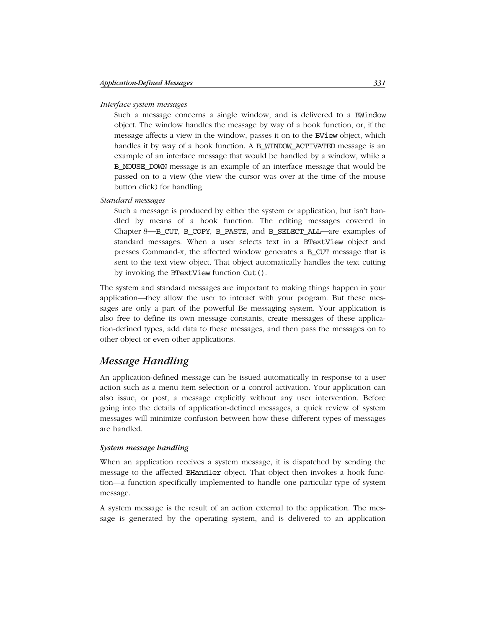### *Interface system messages*

Such a message concerns a single window, and is delivered to a BWindow object. The window handles the message by way of a hook function, or, if the message affects a view in the window, passes it on to the BView object, which handles it by way of a hook function. A B\_WINDOW\_ACTIVATED message is an example of an interface message that would be handled by a window, while a B\_MOUSE\_DOWN message is an example of an interface message that would be passed on to a view (the view the cursor was over at the time of the mouse button click) for handling.

### *Standard messages*

Such a message is produced by either the system or application, but isn't handled by means of a hook function. The editing messages covered in Chapter 8-B\_CUT, B\_COPY, B\_PASTE, and B\_SELECT\_ALL-are examples of standard messages. When a user selects text in a BTextView object and presses Command-x, the affected window generates a B\_CUT message that is sent to the text view object. That object automatically handles the text cutting by invoking the BTextView function Cut().

The system and standard messages are important to making things happen in your application—they allow the user to interact with your program. But these messages are only a part of the powerful Be messaging system. Your application is also free to define its own message constants, create messages of these application-defined types, add data to these messages, and then pass the messages on to other object or even other applications.

# *Message Handling*

An application-defined message can be issued automatically in response to a user action such as a menu item selection or a control activation. Your application can also issue, or post, a message explicitly without any user intervention. Before going into the details of application-defined messages, a quick review of system messages will minimize confusion between how these different types of messages are handled.

# *System message handling*

When an application receives a system message, it is dispatched by sending the message to the affected BHandler object. That object then invokes a hook function—a function specifically implemented to handle one particular type of system message.

A system message is the result of an action external to the application. The message is generated by the operating system, and is delivered to an application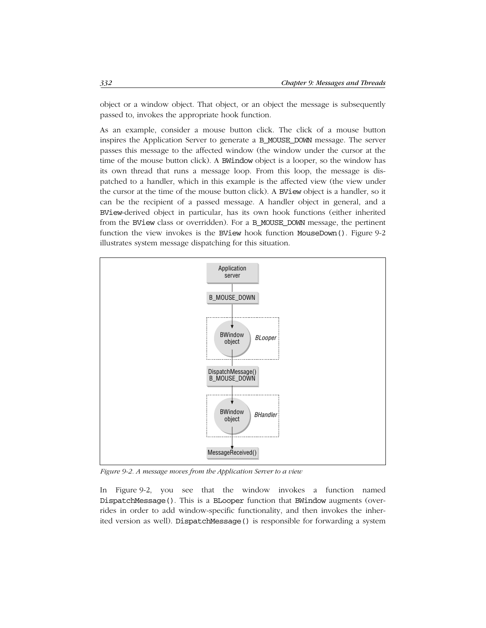object or a window object. That object, or an object the message is subsequently passed to, invokes the appropriate hook function.

As an example, consider a mouse button click. The click of a mouse button inspires the Application Server to generate a B\_MOUSE\_DOWN message. The server passes this message to the affected window (the window under the cursor at the time of the mouse button click). A BWindow object is a looper, so the window has its own thread that runs a message loop. From this loop, the message is dispatched to a handler, which in this example is the affected view (the view under the cursor at the time of the mouse button click). A BView object is a handler, so it can be the recipient of a passed message. A handler object in general, and a BView-derived object in particular, has its own hook functions (either inherited from the BView class or overridden). For a B\_MOUSE\_DOWN message, the pertinent function the view invokes is the BView hook function MouseDown(). Figure 9-2 illustrates system message dispatching for this situation.



*Figure 9-2. A message moves from the Application Server to a view*

In Figure 9-2, you see that the window invokes a function named DispatchMessage(). This is a BLooper function that BWindow augments (overrides in order to add window-specific functionality, and then invokes the inherited version as well). DispatchMessage() is responsible for forwarding a system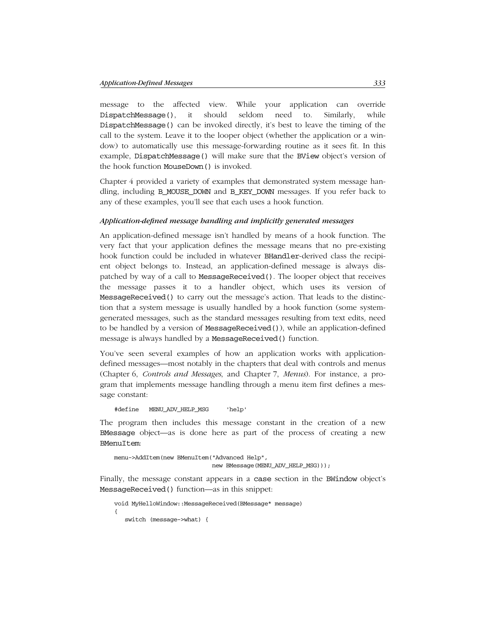message to the affected view. While your application can override DispatchMessage(), it should seldom need to. Similarly, while DispatchMessage() can be invoked directly, it's best to leave the timing of the call to the system. Leave it to the looper object (whether the application or a window) to automatically use this message-forwarding routine as it sees fit. In this example, DispatchMessage() will make sure that the BView object's version of the hook function MouseDown() is invoked.

Chapter 4 provided a variety of examples that demonstrated system message handling, including B\_MOUSE\_DOWN and B\_KEY\_DOWN messages. If you refer back to any of these examples, you'll see that each uses a hook function.

# *Application-defined message handling and implicitly generated messages*

An application-defined message isn't handled by means of a hook function. The very fact that your application defines the message means that no pre-existing hook function could be included in whatever BHandler-derived class the recipient object belongs to. Instead, an application-defined message is always dispatched by way of a call to MessageReceived(). The looper object that receives the message passes it to a handler object, which uses its version of MessageReceived() to carry out the message's action. That leads to the distinction that a system message is usually handled by a hook function (some systemgenerated messages, such as the standard messages resulting from text edits, need to be handled by a version of MessageReceived()), while an application-defined message is always handled by a MessageReceived() function.

You've seen several examples of how an application works with applicationdefined messages—most notably in the chapters that deal with controls and menus (Chapter 6, *Controls and Messages*, and Chapter 7, *Menus*). For instance, a program that implements message handling through a menu item first defines a message constant:

#define MENU\_ADV\_HELP\_MSG 'help'

The program then includes this message constant in the creation of a new BMessage object—as is done here as part of the process of creating a new BMenuItem:

```
menu->AddItem(new BMenuItem("Advanced Help",
                             new BMessage(MENU_ADV_HELP_MSG)));
```
Finally, the message constant appears in a case section in the BWindow object's MessageReceived() function—as in this snippet:

```
void MyHelloWindow::MessageReceived(BMessage* message)
{
    switch (message->what) {
```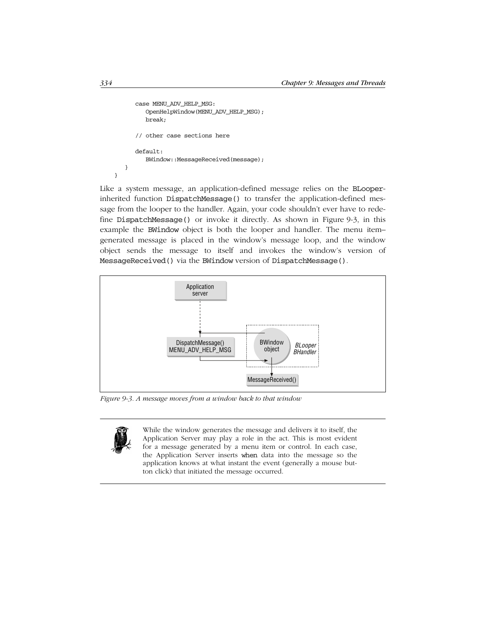```
 case MENU_ADV_HELP_MSG:
         OpenHelpWindow(MENU ADV HELP MSG);
          break;
       // other case sections here
       default:
          BWindow::MessageReceived(message);
    }
}
```
Like a system message, an application-defined message relies on the BLooperinherited function DispatchMessage() to transfer the application-defined message from the looper to the handler. Again, your code shouldn't ever have to redefine DispatchMessage() or invoke it directly. As shown in Figure 9-3, in this example the BWindow object is both the looper and handler. The menu item– generated message is placed in the window's message loop, and the window object sends the message to itself and invokes the window's version of MessageReceived() via the BWindow version of DispatchMessage().



*Figure 9-3. A message moves from a window back to that window*



While the window generates the message and delivers it to itself, the Application Server may play a role in the act. This is most evident for a message generated by a menu item or control. In each case, the Application Server inserts when data into the message so the application knows at what instant the event (generally a mouse button click) that initiated the message occurred.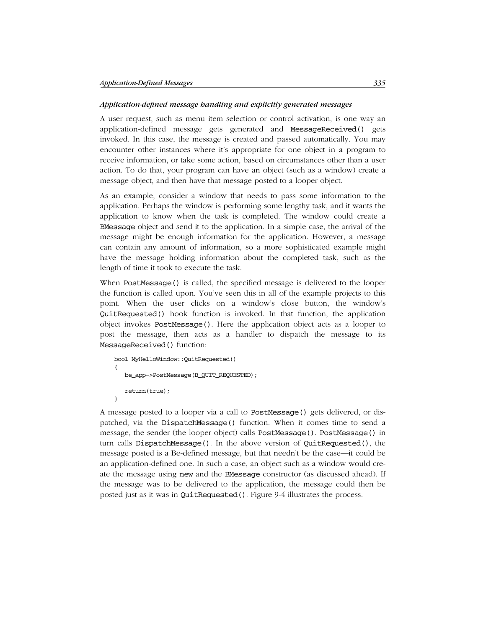# *Application-defined message handling and explicitly generated messages*

A user request, such as menu item selection or control activation, is one way an application-defined message gets generated and MessageReceived() gets invoked. In this case, the message is created and passed automatically. You may encounter other instances where it's appropriate for one object in a program to receive information, or take some action, based on circumstances other than a user action. To do that, your program can have an object (such as a window) create a message object, and then have that message posted to a looper object.

As an example, consider a window that needs to pass some information to the application. Perhaps the window is performing some lengthy task, and it wants the application to know when the task is completed. The window could create a BMessage object and send it to the application. In a simple case, the arrival of the message might be enough information for the application. However, a message can contain any amount of information, so a more sophisticated example might have the message holding information about the completed task, such as the length of time it took to execute the task.

When PostMessage() is called, the specified message is delivered to the looper the function is called upon. You've seen this in all of the example projects to this point. When the user clicks on a window's close button, the window's QuitRequested() hook function is invoked. In that function, the application object invokes PostMessage(). Here the application object acts as a looper to post the message, then acts as a handler to dispatch the message to its MessageReceived() function:

```
bool MyHelloWindow::QuitRequested()
{
    be_app->PostMessage(B_QUIT_REQUESTED);
    return(true);
}
```
A message posted to a looper via a call to PostMessage() gets delivered, or dispatched, via the DispatchMessage() function. When it comes time to send a message, the sender (the looper object) calls PostMessage(). PostMessage() in turn calls DispatchMessage(). In the above version of QuitRequested(), the message posted is a Be-defined message, but that needn't be the case—it could be an application-defined one. In such a case, an object such as a window would create the message using new and the BMessage constructor (as discussed ahead). If the message was to be delivered to the application, the message could then be posted just as it was in QuitRequested(). Figure 9-4 illustrates the process.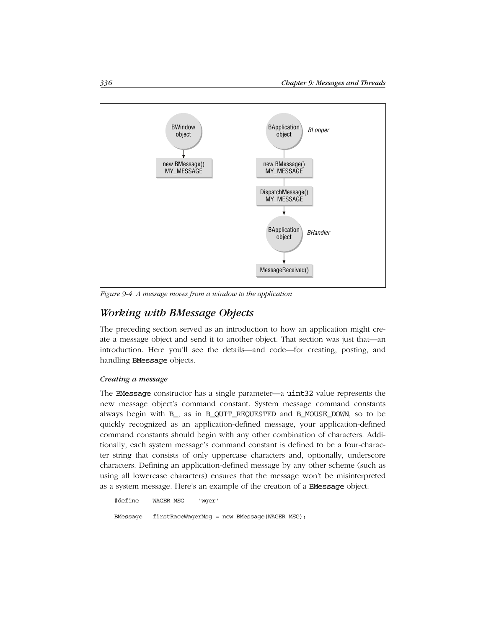

*Figure 9-4. A message moves from a window to the application*

# *Working with BMessage Objects*

The preceding section served as an introduction to how an application might create a message object and send it to another object. That section was just that—an introduction. Here you'll see the details—and code—for creating, posting, and handling BMessage objects.

# *Creating a message*

The BMessage constructor has a single parameter—a uint32 value represents the new message object's command constant. System message command constants always begin with B\_, as in B\_QUIT\_REQUESTED and B\_MOUSE\_DOWN, so to be quickly recognized as an application-defined message, your application-defined command constants should begin with any other combination of characters. Additionally, each system message's command constant is defined to be a four-character string that consists of only uppercase characters and, optionally, underscore characters. Defining an application-defined message by any other scheme (such as using all lowercase characters) ensures that the message won't be misinterpreted as a system message. Here's an example of the creation of a BMessage object:

```
#define WAGER_MSG 'wger'
BMessage firstRaceWagerMsg = new BMessage(WAGER_MSG);
```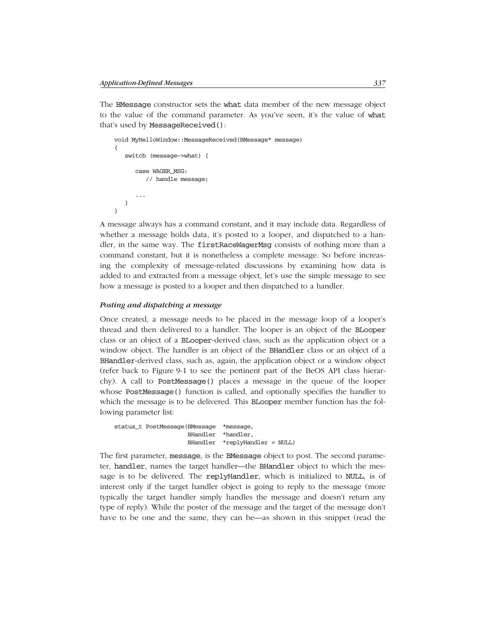The BMessage constructor sets the what data member of the new message object to the value of the command parameter. As you've seen, it's the value of what that's used by MessageReceived():

```
void MyHelloWindow::MessageReceived(BMessage* message)
{
    switch (message->what) {
       case WAGER_MSG:
          // handle message;
 ...
    }
}
```
A message always has a command constant, and it may include data. Regardless of whether a message holds data, it's posted to a looper, and dispatched to a handler, in the same way. The firstRaceWagerMsg consists of nothing more than a command constant, but it is nonetheless a complete message. So before increasing the complexity of message-related discussions by examining how data is added to and extracted from a message object, let's use the simple message to see how a message is posted to a looper and then dispatched to a handler.

# *Posting and dispatching a message*

Once created, a message needs to be placed in the message loop of a looper's thread and then delivered to a handler. The looper is an object of the BLooper class or an object of a BLooper-derived class, such as the application object or a window object. The handler is an object of the BHandler class or an object of a BHandler-derived class, such as, again, the application object or a window object (refer back to Figure 9-1 to see the pertinent part of the BeOS API class hierarchy). A call to PostMessage() places a message in the queue of the looper whose PostMessage() function is called, and optionally specifies the handler to which the message is to be delivered. This BLooper member function has the following parameter list:

```
status_t PostMessage(BMessage *message,
                      BHandler *handler,
                      BHandler *replyHandler = NULL)
```
The first parameter, message, is the BMessage object to post. The second parameter, handler, names the target handler—the BHandler object to which the message is to be delivered. The replyHandler, which is initialized to NULL, is of interest only if the target handler object is going to reply to the message (more typically the target handler simply handles the message and doesn't return any type of reply). While the poster of the message and the target of the message don't have to be one and the same, they can be—as shown in this snippet (read the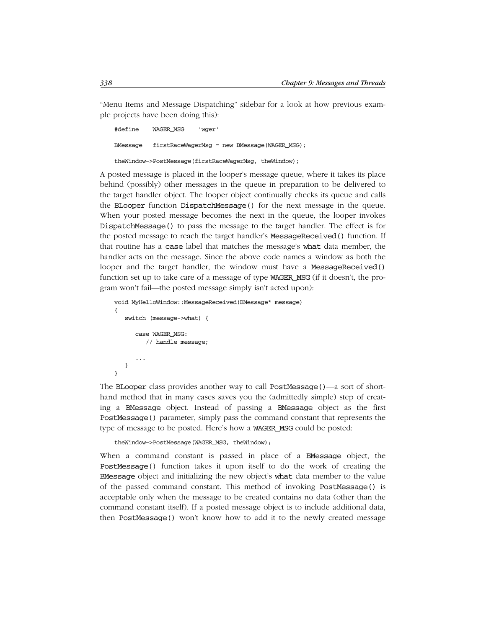"Menu Items and Message Dispatching" sidebar for a look at how previous example projects have been doing this):

| #define  | WAGER MSG | 'waer'                                                |
|----------|-----------|-------------------------------------------------------|
| BMessage |           | $firstRaceWagerMsq = new BMessage(WAGER MSG);$        |
|          |           | theWindow->PostMessage(firstRaceWagerMsg, theWindow); |

A posted message is placed in the looper's message queue, where it takes its place behind (possibly) other messages in the queue in preparation to be delivered to the target handler object. The looper object continually checks its queue and calls the BLooper function DispatchMessage() for the next message in the queue. When your posted message becomes the next in the queue, the looper invokes DispatchMessage() to pass the message to the target handler. The effect is for the posted message to reach the target handler's MessageReceived() function. If that routine has a case label that matches the message's what data member, the handler acts on the message. Since the above code names a window as both the looper and the target handler, the window must have a MessageReceived() function set up to take care of a message of type WAGER\_MSG (if it doesn't, the program won't fail—the posted message simply isn't acted upon):

```
void MyHelloWindow::MessageReceived(BMessage* message)
{
    switch (message->what) {
       case WAGER_MSG:
          // handle message;
 ...
    }
}
```
The BLooper class provides another way to call PostMessage()—a sort of shorthand method that in many cases saves you the (admittedly simple) step of creating a BMessage object. Instead of passing a BMessage object as the first PostMessage() parameter, simply pass the command constant that represents the type of message to be posted. Here's how a WAGER\_MSG could be posted:

```
theWindow->PostMessage(WAGER_MSG, theWindow);
```
When a command constant is passed in place of a BMessage object, the PostMessage() function takes it upon itself to do the work of creating the BMessage object and initializing the new object's what data member to the value of the passed command constant. This method of invoking PostMessage() is acceptable only when the message to be created contains no data (other than the command constant itself). If a posted message object is to include additional data, then PostMessage() won't know how to add it to the newly created message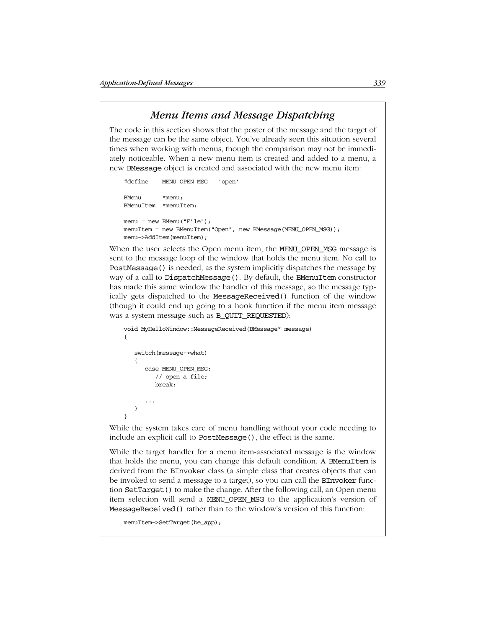# *Menu Items and Message Dispatching*

The code in this section shows that the poster of the message and the target of the message can be the same object. You've already seen this situation several times when working with menus, though the comparison may not be immediately noticeable. When a new menu item is created and added to a menu, a new BMessage object is created and associated with the new menu item:

```
#define MENU_OPEN_MSG 'open'
BMenu *menu;
BMenuItem *menuItem;
menu = new BMenu("File");
menuItem = new BMenuItem("Open", new BMessage(MENU_OPEN_MSG));
menu->AddItem(menuItem);
```
When the user selects the Open menu item, the MENU\_OPEN\_MSG message is sent to the message loop of the window that holds the menu item. No call to PostMessage() is needed, as the system implicitly dispatches the message by way of a call to DispatchMessage(). By default, the BMenuItem constructor has made this same window the handler of this message, so the message typically gets dispatched to the MessageReceived() function of the window (though it could end up going to a hook function if the menu item message was a system message such as B\_QUIT\_REQUESTED):

```
void MyHelloWindow::MessageReceived(BMessage* message)
{
    switch(message->what)
    {
       case MENU_OPEN_MSG:
          // open a file;
          break;
 ...
    }
}
```
While the system takes care of menu handling without your code needing to include an explicit call to PostMessage(), the effect is the same.

While the target handler for a menu item-associated message is the window that holds the menu, you can change this default condition. A BMenuItem is derived from the BInvoker class (a simple class that creates objects that can be invoked to send a message to a target), so you can call the BInvoker function SetTarget() to make the change. After the following call, an Open menu item selection will send a MENU\_OPEN\_MSG to the application's version of MessageReceived() rather than to the window's version of this function:

```
menuItem->SetTarget(be_app);
```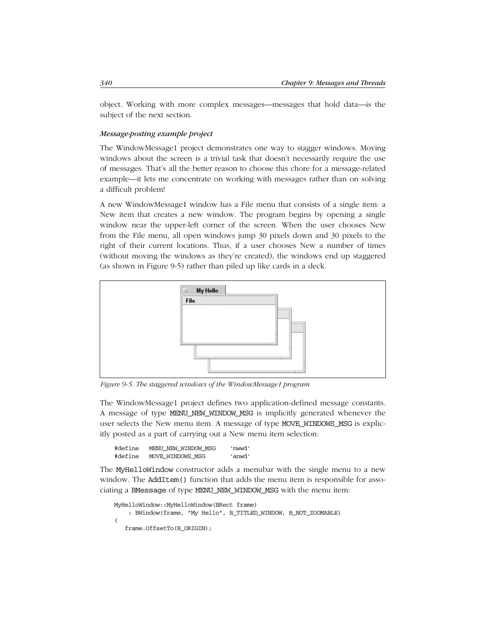object. Working with more complex messages—messages that hold data—is the subject of the next section.

# *Message-posting example project*

The WindowMessage1 project demonstrates one way to stagger windows. Moving windows about the screen is a trivial task that doesn't necessarily require the use of messages. That's all the better reason to choose this chore for a message-related example—it lets me concentrate on working with messages rather than on solving a difficult problem!

A new WindowMessage1 window has a File menu that consists of a single item: a New item that creates a new window. The program begins by opening a single window near the upper-left corner of the screen. When the user chooses New from the File menu, all open windows jump 30 pixels down and 30 pixels to the right of their current locations. Thus, if a user chooses New a number of times (without moving the windows as they're created), the windows end up staggered (as shown in Figure 9-5) rather than piled up like cards in a deck.



*Figure 9-5. The staggered windows of the WindowMessage1 program*

The WindowMessage1 project defines two application-defined message constants. A message of type MENU\_NEW\_WINDOW\_MSG is implicitly generated whenever the user selects the New menu item. A message of type MOVE\_WINDOWS\_MSG is explicitly posted as a part of carrying out a New menu item selection:

| #define | MENU NEW WINDOW MSG | 'nwwd' |
|---------|---------------------|--------|
| #define | MOVE WINDOWS MSG    | 'anwd' |

The MyHelloWindow constructor adds a menubar with the single menu to a new window. The AddItem() function that adds the menu item is responsible for associating a BMessage of type MENU\_NEW\_WINDOW\_MSG with the menu item:

```
MyHelloWindow::MyHelloWindow(BRect frame)
     : BWindow(frame, "My Hello", B_TITLED_WINDOW, B_NOT_ZOOMABLE)
{
    frame.OffsetTo(B_ORIGIN);
```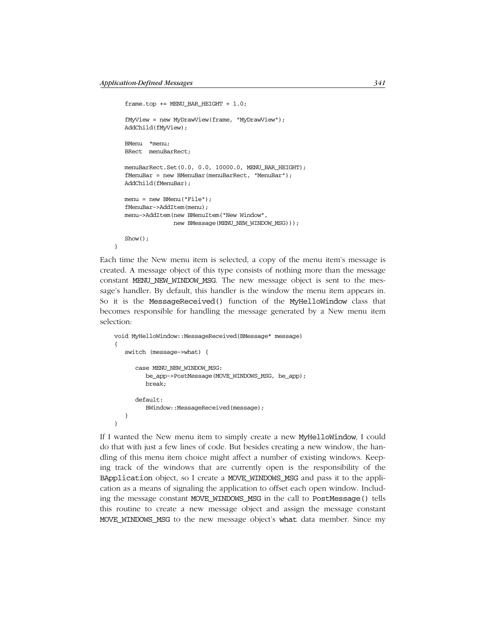```
 frame.top += MENU_BAR_HEIGHT + 1.0;
 fMyView = new MyDrawView(frame, "MyDrawView");
 AddChild(fMyView);
 BMenu *menu;
 BRect menuBarRect;
 menuBarRect.Set(0.0, 0.0, 10000.0, MENU_BAR_HEIGHT);
 fMenuBar = new BMenuBar(menuBarRect, "MenuBar");
 AddChild(fMenuBar);
menu = new BMenu("File");
 fMenuBar->AddItem(menu);
 menu->AddItem(new BMenuItem("New Window",
               new BMessage(MENU_NEW_WINDOW_MSG)));
Show();
```

```
}
```
Each time the New menu item is selected, a copy of the menu item's message is created. A message object of this type consists of nothing more than the message constant MENU\_NEW\_WINDOW\_MSG. The new message object is sent to the message's handler. By default, this handler is the window the menu item appears in. So it is the MessageReceived() function of the MyHelloWindow class that becomes responsible for handling the message generated by a New menu item selection:

```
void MyHelloWindow::MessageReceived(BMessage* message)
{
    switch (message->what) {
       case MENU_NEW_WINDOW_MSG:
          be_app->PostMessage(MOVE_WINDOWS_MSG, be_app);
          break;
       default:
          BWindow::MessageReceived(message);
    }
}
```
If I wanted the New menu item to simply create a new MyHelloWindow, I could do that with just a few lines of code. But besides creating a new window, the handling of this menu item choice might affect a number of existing windows. Keeping track of the windows that are currently open is the responsibility of the BApplication object, so I create a MOVE\_WINDOWS\_MSG and pass it to the application as a means of signaling the application to offset each open window. Including the message constant MOVE\_WINDOWS\_MSG in the call to PostMessage() tells this routine to create a new message object and assign the message constant MOVE\_WINDOWS\_MSG to the new message object's what data member. Since my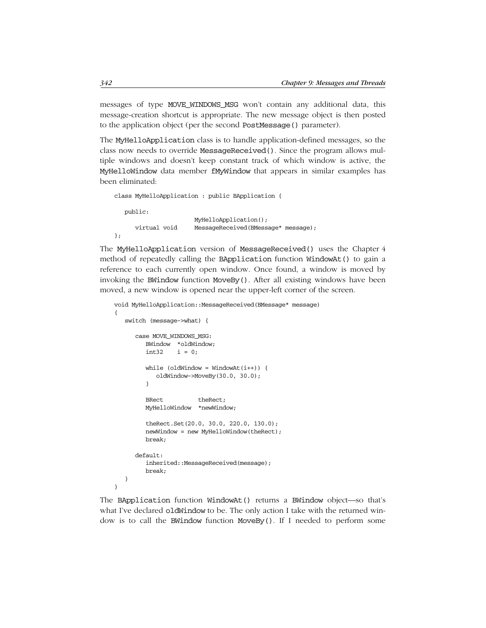messages of type MOVE\_WINDOWS\_MSG won't contain any additional data, this message-creation shortcut is appropriate. The new message object is then posted to the application object (per the second PostMessage() parameter).

The MyHelloApplication class is to handle application-defined messages, so the class now needs to override MessageReceived(). Since the program allows multiple windows and doesn't keep constant track of which window is active, the MyHelloWindow data member fMyWindow that appears in similar examples has been eliminated:

```
class MyHelloApplication : public BApplication {
   public:
                        MyHelloApplication();
       virtual void MessageReceived(BMessage* message);
};
```
The MyHelloApplication version of MessageReceived() uses the Chapter 4 method of repeatedly calling the BApplication function WindowAt() to gain a reference to each currently open window. Once found, a window is moved by invoking the BWindow function MoveBy(). After all existing windows have been moved, a new window is opened near the upper-left corner of the screen.

```
void MyHelloApplication::MessageReceived(BMessage* message)
{
    switch (message->what) {
       case MOVE_WINDOWS_MSG:
         BWindow *oldWindow;
        int32 i = 0;while (oldWindow = WindowAt(i++) ) {
             oldWindow->MoveBy(30.0, 30.0);
 }
         BRect theRect;
         MyHelloWindow *newWindow;
          theRect.Set(20.0, 30.0, 220.0, 130.0);
          newWindow = new MyHelloWindow(theRect);
         break;
       default:
         inherited::MessageReceived(message);
         break;
    }
}
```
The BApplication function WindowAt() returns a BWindow object—so that's what I've declared oldWindow to be. The only action I take with the returned window is to call the BWindow function MoveBy(). If I needed to perform some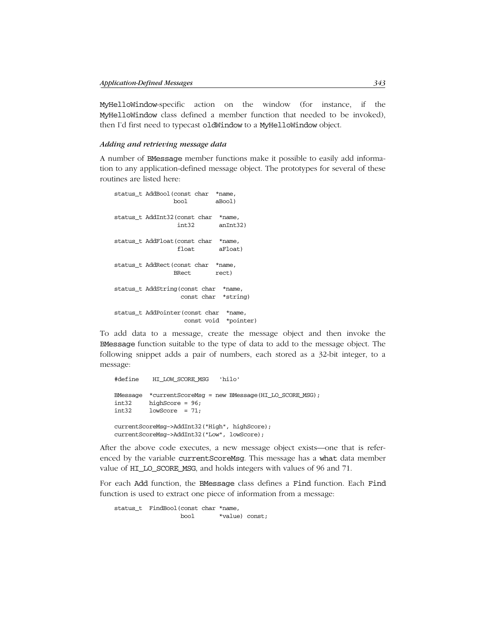MyHelloWindow-specific action on the window (for instance, if the MyHelloWindow class defined a member function that needed to be invoked), then I'd first need to typecast oldWindow to a MyHelloWindow object.

# *Adding and retrieving message data*

A number of BMessage member functions make it possible to easily add information to any application-defined message object. The prototypes for several of these routines are listed here:

status\_t AddBool(const char \*name, bool aBool) status\_t AddInt32(const char \*name, int32 anInt32) status\_t AddFloat(const char \*name, float aFloat) status\_t AddRect(const char \*name, BRect rect) status\_t AddString(const char \*name, const char \*string) status\_t AddPointer(const char \*name, const void \*pointer)

To add data to a message, create the message object and then invoke the BMessage function suitable to the type of data to add to the message object. The following snippet adds a pair of numbers, each stored as a 32-bit integer, to a message:

```
#define HI_LOW_SCORE_MSG 'hilo'
BMessage *currentScoreMsg = new BMessage(HI_LO_SCORE_MSG);
int32 highScore = 96;
int32 lowScore = 71;
currentScoreMsg->AddInt32("High", highScore);
currentScoreMsg->AddInt32("Low", lowScore);
```
After the above code executes, a new message object exists—one that is referenced by the variable currentScoreMsg. This message has a what data member value of HI\_LO\_SCORE\_MSG, and holds integers with values of 96 and 71.

For each Add function, the BMessage class defines a Find function. Each Find function is used to extract one piece of information from a message:

status\_t FindBool(const char \*name, bool \*value) const;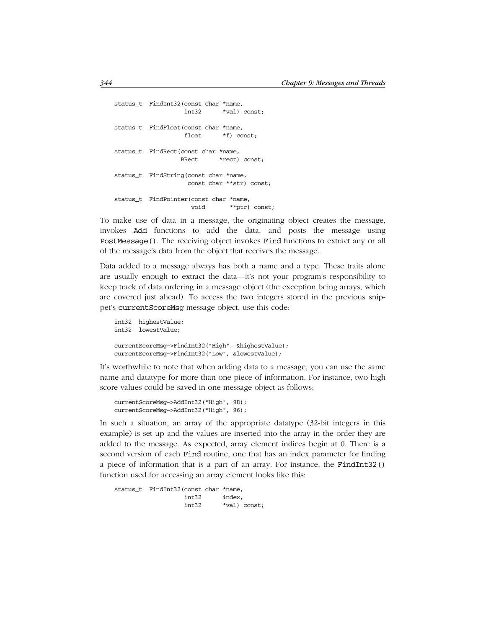status\_t FindInt32(const char \*name,  $int32$  \*val) const; status\_t FindFloat(const char \*name, float \*f) const; status\_t FindRect(const char \*name, BRect \*rect) const; status\_t FindString(const char \*name, const char \*\*str) const; status\_t FindPointer(const char \*name, void \*\*ptr) const;

To make use of data in a message, the originating object creates the message, invokes Add functions to add the data, and posts the message using PostMessage(). The receiving object invokes Find functions to extract any or all of the message's data from the object that receives the message.

Data added to a message always has both a name and a type. These traits alone are usually enough to extract the data—it's not your program's responsibility to keep track of data ordering in a message object (the exception being arrays, which are covered just ahead). To access the two integers stored in the previous snippet's currentScoreMsg message object, use this code:

```
int32 highestValue;
int32 lowestValue;
currentScoreMsg->FindInt32("High", &highestValue);
currentScoreMsg->FindInt32("Low", &lowestValue);
```
It's worthwhile to note that when adding data to a message, you can use the same name and datatype for more than one piece of information. For instance, two high score values could be saved in one message object as follows:

```
currentScoreMsg->AddInt32("High", 98);
currentScoreMsg->AddInt32("High", 96);
```
In such a situation, an array of the appropriate datatype (32-bit integers in this example) is set up and the values are inserted into the array in the order they are added to the message. As expected, array element indices begin at 0. There is a second version of each Find routine, one that has an index parameter for finding a piece of information that is a part of an array. For instance, the FindInt32() function used for accessing an array element looks like this:

status\_t FindInt32(const char \*name, int32 index, int32 \*val) const;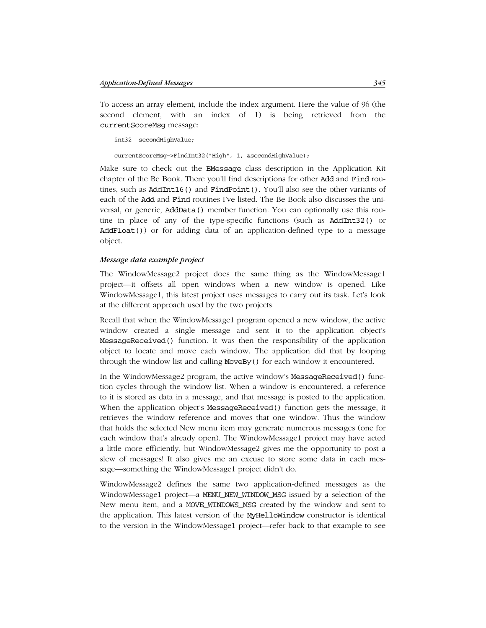To access an array element, include the index argument. Here the value of 96 (the second element, with an index of 1) is being retrieved from the currentScoreMsg message:

int32 secondHighValue;

currentScoreMsg->FindInt32("High", 1, &secondHighValue);

Make sure to check out the BMessage class description in the Application Kit chapter of the Be Book. There you'll find descriptions for other Add and Find routines, such as AddInt16() and FindPoint(). You'll also see the other variants of each of the Add and Find routines I've listed. The Be Book also discusses the universal, or generic, AddData() member function. You can optionally use this routine in place of any of the type-specific functions (such as AddInt32() or AddFloat()) or for adding data of an application-defined type to a message object.

# *Message data example project*

The WindowMessage2 project does the same thing as the WindowMessage1 project—it offsets all open windows when a new window is opened. Like WindowMessage1, this latest project uses messages to carry out its task. Let's look at the different approach used by the two projects.

Recall that when the WindowMessage1 program opened a new window, the active window created a single message and sent it to the application object's MessageReceived() function. It was then the responsibility of the application object to locate and move each window. The application did that by looping through the window list and calling MoveBy() for each window it encountered.

In the WindowMessage2 program, the active window's MessageReceived() function cycles through the window list. When a window is encountered, a reference to it is stored as data in a message, and that message is posted to the application. When the application object's MessageReceived() function gets the message, it retrieves the window reference and moves that one window. Thus the window that holds the selected New menu item may generate numerous messages (one for each window that's already open). The WindowMessage1 project may have acted a little more efficiently, but WindowMessage2 gives me the opportunity to post a slew of messages! It also gives me an excuse to store some data in each message—something the WindowMessage1 project didn't do.

WindowMessage2 defines the same two application-defined messages as the WindowMessage1 project—a MENU\_NEW\_WINDOW\_MSG issued by a selection of the New menu item, and a MOVE\_WINDOWS\_MSG created by the window and sent to the application. This latest version of the MyHelloWindow constructor is identical to the version in the WindowMessage1 project—refer back to that example to see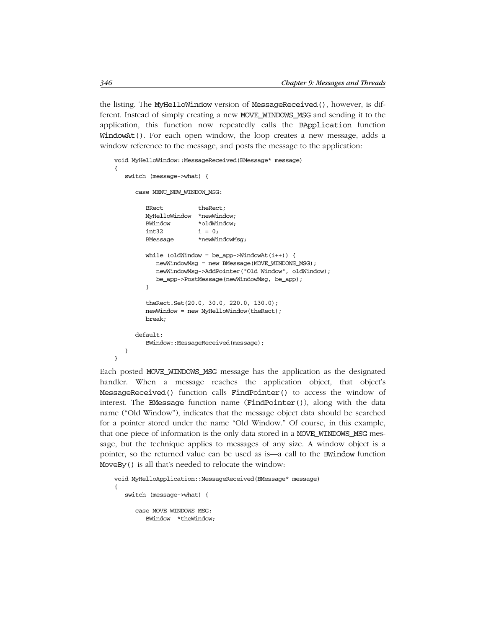the listing. The MyHelloWindow version of MessageReceived(), however, is different. Instead of simply creating a new MOVE\_WINDOWS\_MSG and sending it to the application, this function now repeatedly calls the BApplication function WindowAt(). For each open window, the loop creates a new message, adds a window reference to the message, and posts the message to the application:

```
void MyHelloWindow::MessageReceived(BMessage* message)
{
    switch (message->what) {
      case MENU_NEW_WINDOW_MSG:
         BRect theRect;
         MyHelloWindow *newWindow;
         BWindow *oldWindow;
        int32 i = 0;BMessage *newWindowMsg;
        while \text{(oldWindow = be\_app->WindowAt(i++)}) {
            newWindowMsg = new BMessage(MOVE_WINDOWS_MSG);
            newWindowMsg->AddPointer("Old Window", oldWindow);
            be_app->PostMessage(newWindowMsg, be_app);
 }
         theRect.Set(20.0, 30.0, 220.0, 130.0);
         newWindow = new MyHelloWindow(theRect);
         break;
      default:
         BWindow::MessageReceived(message);
    }
}
```
Each posted MOVE\_WINDOWS\_MSG message has the application as the designated handler. When a message reaches the application object, that object's MessageReceived() function calls FindPointer() to access the window of interest. The BMessage function name (FindPointer()), along with the data name ("Old Window"), indicates that the message object data should be searched for a pointer stored under the name "Old Window." Of course, in this example, that one piece of information is the only data stored in a MOVE\_WINDOWS\_MSG message, but the technique applies to messages of any size. A window object is a pointer, so the returned value can be used as is—a call to the BWindow function MoveBy() is all that's needed to relocate the window:

```
void MyHelloApplication::MessageReceived(BMessage* message)
{
    switch (message->what) {
       case MOVE_WINDOWS_MSG:
         BWindow *theWindow;
```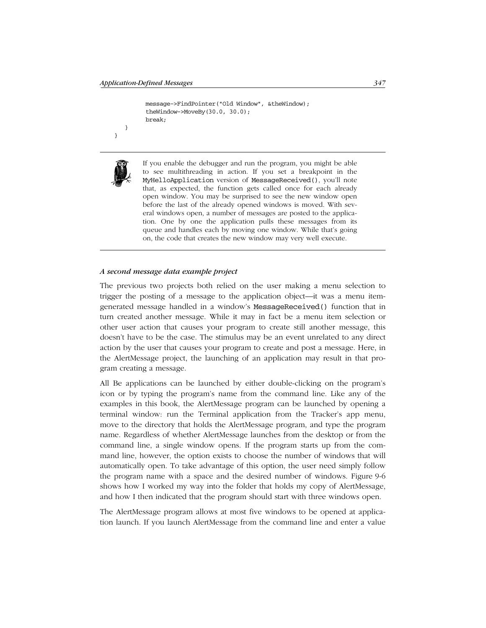```
 message->FindPointer("Old Window", &theWindow);
 theWindow->MoveBy(30.0, 30.0);
 break;
```


 } }

> If you enable the debugger and run the program, you might be able to see multithreading in action. If you set a breakpoint in the MyHelloApplication version of MessageReceived(), you'll note that, as expected, the function gets called once for each already open window. You may be surprised to see the new window open before the last of the already opened windows is moved. With several windows open, a number of messages are posted to the application. One by one the application pulls these messages from its queue and handles each by moving one window. While that's going on, the code that creates the new window may very well execute.

# *A second message data example project*

The previous two projects both relied on the user making a menu selection to trigger the posting of a message to the application object—it was a menu itemgenerated message handled in a window's MessageReceived() function that in turn created another message. While it may in fact be a menu item selection or other user action that causes your program to create still another message, this doesn't have to be the case. The stimulus may be an event unrelated to any direct action by the user that causes your program to create and post a message. Here, in the AlertMessage project, the launching of an application may result in that program creating a message.

All Be applications can be launched by either double-clicking on the program's icon or by typing the program's name from the command line. Like any of the examples in this book, the AlertMessage program can be launched by opening a terminal window: run the Terminal application from the Tracker's app menu, move to the directory that holds the AlertMessage program, and type the program name. Regardless of whether AlertMessage launches from the desktop or from the command line, a single window opens. If the program starts up from the command line, however, the option exists to choose the number of windows that will automatically open. To take advantage of this option, the user need simply follow the program name with a space and the desired number of windows. Figure 9-6 shows how I worked my way into the folder that holds my copy of AlertMessage, and how I then indicated that the program should start with three windows open.

The AlertMessage program allows at most five windows to be opened at application launch. If you launch AlertMessage from the command line and enter a value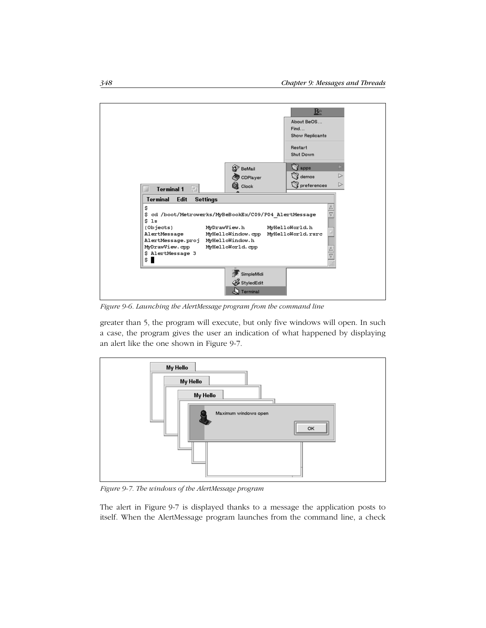| Be<br>About BeOS<br>Find<br>Show Replicants<br>Restart<br>Shut Down<br>$\mathbb{N}$ apps<br>₩<br>BeMail<br>R demos<br>CDPlayer<br>$\mathbb{V}$ preferences<br>ß<br>Clock<br>羁<br><b>Terminal 1</b><br>Terminal<br>Edit<br><b>Settings</b><br>$\frac{\Delta}{\nabla}$<br>\$<br>\$<br>cd /boot/Metrowerks/MyBeBookEx/C09/P04 AlertMessage<br>\$ ls<br>(Objects)<br>MyDrawView.h<br>MyHelloWorld.h<br>MyHelloWindow.cpp<br>AlertMessage<br>MyHelloWorld.rsrc<br>AlertMessage.proj<br>MyHelloWindow.h<br>MyDrawView.cpp<br>MyHelloWorld.cpp<br>$\frac{\Delta}{\nabla}$<br>\$ AlertMessage 3<br>\$ |  |  |
|-----------------------------------------------------------------------------------------------------------------------------------------------------------------------------------------------------------------------------------------------------------------------------------------------------------------------------------------------------------------------------------------------------------------------------------------------------------------------------------------------------------------------------------------------------------------------------------------------|--|--|
|                                                                                                                                                                                                                                                                                                                                                                                                                                                                                                                                                                                               |  |  |
|                                                                                                                                                                                                                                                                                                                                                                                                                                                                                                                                                                                               |  |  |
|                                                                                                                                                                                                                                                                                                                                                                                                                                                                                                                                                                                               |  |  |
|                                                                                                                                                                                                                                                                                                                                                                                                                                                                                                                                                                                               |  |  |
|                                                                                                                                                                                                                                                                                                                                                                                                                                                                                                                                                                                               |  |  |
|                                                                                                                                                                                                                                                                                                                                                                                                                                                                                                                                                                                               |  |  |
|                                                                                                                                                                                                                                                                                                                                                                                                                                                                                                                                                                                               |  |  |

*Figure 9-6. Launching the AlertMessage program from the command line*

greater than 5, the program will execute, but only five windows will open. In such a case, the program gives the user an indication of what happened by displaying an alert like the one shown in Figure 9-7.



*Figure 9-7. The windows of the AlertMessage program*

The alert in Figure 9-7 is displayed thanks to a message the application posts to itself. When the AlertMessage program launches from the command line, a check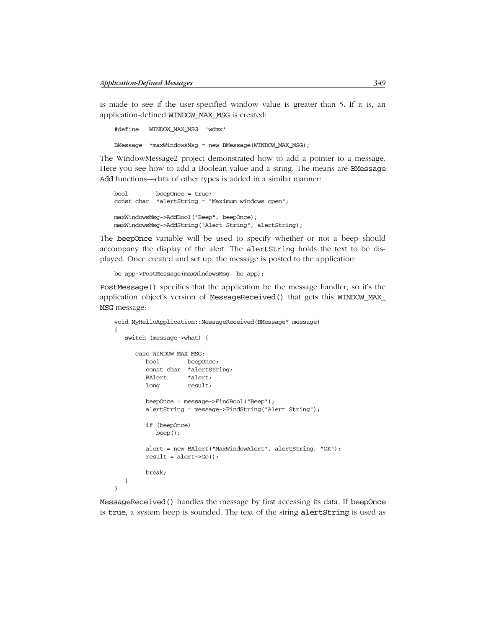is made to see if the user-specified window value is greater than 5. If it is, an application-defined WINDOW\_MAX\_MSG is created:

#define WINDOW\_MAX\_MSG 'wdmx' BMessage \*maxWindowsMsg = new BMessage(WINDOW\_MAX\_MSG);

The WindowMessage2 project demonstrated how to add a pointer to a message. Here you see how to add a Boolean value and a string. The means are BMessage Add functions—data of other types is added in a similar manner:

```
bool beepOnce = true;
const char *alertString = "Maximum windows open";
maxWindowsMsg->AddBool("Beep", beepOnce);
maxWindowsMsg->AddString("Alert String", alertString);
```
The beepOnce variable will be used to specify whether or not a beep should accompany the display of the alert. The alertString holds the text to be displayed. Once created and set up, the message is posted to the application:

```
be_app->PostMessage(maxWindowsMsg, be_app);
```
PostMessage() specifies that the application be the message handler, so it's the application object's version of MessageReceived() that gets this WINDOW\_MAX\_ MSG message:

```
void MyHelloApplication::MessageReceived(BMessage* message)
{
   switch (message->what) {
      case WINDOW_MAX_MSG:
         bool beepOnce;
         const char *alertString;
        BAlert *alert;
         long result;
         beepOnce = message->FindBool("Beep");
         alertString = message->FindString("Alert String");
         if (beepOnce)
            beep();
          alert = new BAlert("MaxWindowAlert", alertString, "OK");
        result = alert->Go();
         break;
   }
}
```
MessageReceived() handles the message by first accessing its data. If beepOnce is true, a system beep is sounded. The text of the string alertString is used as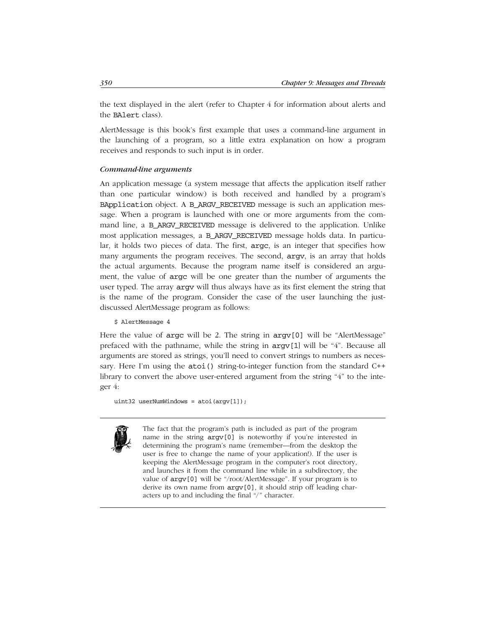the text displayed in the alert (refer to Chapter 4 for information about alerts and the BAlert class).

AlertMessage is this book's first example that uses a command-line argument in the launching of a program, so a little extra explanation on how a program receives and responds to such input is in order.

# *Command-line arguments*

An application message (a system message that affects the application itself rather than one particular window) is both received and handled by a program's BApplication object. A B\_ARGV\_RECEIVED message is such an application message. When a program is launched with one or more arguments from the command line, a B\_ARGV\_RECEIVED message is delivered to the application. Unlike most application messages, a B\_ARGV\_RECEIVED message holds data. In particular, it holds two pieces of data. The first, argc, is an integer that specifies how many arguments the program receives. The second, argv, is an array that holds the actual arguments. Because the program name itself is considered an argument, the value of argc will be one greater than the number of arguments the user typed. The array argv will thus always have as its first element the string that is the name of the program. Consider the case of the user launching the justdiscussed AlertMessage program as follows:

### \$ AlertMessage 4

Here the value of argc will be 2. The string in argv[0] will be "AlertMessage" prefaced with the pathname, while the string in  $\arg[v(1)]$  will be "4". Because all arguments are stored as strings, you'll need to convert strings to numbers as necessary. Here I'm using the atoi() string-to-integer function from the standard C++ library to convert the above user-entered argument from the string "4" to the integer 4:

uint32 userNumWindows = atoi(argv[1]);



The fact that the program's path is included as part of the program name in the string argv[0] is noteworthy if you're interested in determining the program's name (remember—from the desktop the user is free to change the name of your application!). If the user is keeping the AlertMessage program in the computer's root directory, and launches it from the command line while in a subdirectory, the value of argv[0] will be "/root/AlertMessage". If your program is to derive its own name from argv[0], it should strip off leading characters up to and including the final "/" character.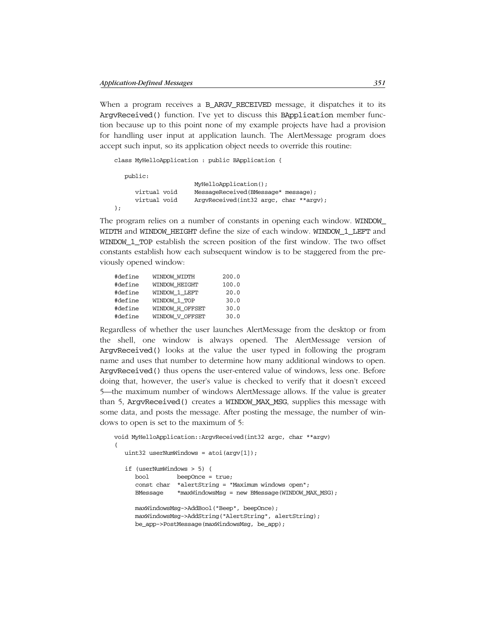When a program receives a B\_ARGV\_RECEIVED message, it dispatches it to its ArgvReceived() function. I've yet to discuss this BApplication member function because up to this point none of my example projects have had a provision for handling user input at application launch. The AlertMessage program does accept such input, so its application object needs to override this routine:

```
class MyHelloApplication : public BApplication {
   public:
                       MyHelloApplication();
      virtual void MessageReceived(BMessage* message);
      virtual void ArgvReceived(int32 argc, char **argv);
};
```
The program relies on a number of constants in opening each window. WINDOW\_ WIDTH and WINDOW\_HEIGHT define the size of each window. WINDOW\_1\_LEFT and WINDOW<sub>1</sub> TOP establish the screen position of the first window. The two offset constants establish how each subsequent window is to be staggered from the previously opened window:

| #define | WINDOW WIDTH         | 200.0 |
|---------|----------------------|-------|
| #define | <b>WINDOW HEIGHT</b> | 100.0 |
| #define | WINDOW 1 LEFT        | 20.0  |
| #define | WINDOW 1 TOP         | 30.0  |
| #define | WINDOW H OFFSET      | 30.0  |
| #define | WINDOW V OFFSET      | 30.0  |

Regardless of whether the user launches AlertMessage from the desktop or from the shell, one window is always opened. The AlertMessage version of ArgvReceived() looks at the value the user typed in following the program name and uses that number to determine how many additional windows to open. ArgvReceived() thus opens the user-entered value of windows, less one. Before doing that, however, the user's value is checked to verify that it doesn't exceed 5—the maximum number of windows AlertMessage allows. If the value is greater than 5, ArgvReceived() creates a WINDOW\_MAX\_MSG, supplies this message with some data, and posts the message. After posting the message, the number of windows to open is set to the maximum of 5:

```
void MyHelloApplication::ArgvReceived(int32 argc, char **argv)
{
  uint32 userNumWindows = atoi(argv[1]);
    if (userNumWindows > 5) {
      bool beepOnce = true;
       const char *alertString = "Maximum windows open";
      BMessage *maxWindowsMsq = new BMessage(WINDOW MAX MSG);
      maxWindowsMsg->AddBool("Beep", beepOnce);
       maxWindowsMsg->AddString("AlertString", alertString);
       be_app->PostMessage(maxWindowsMsg, be_app);
```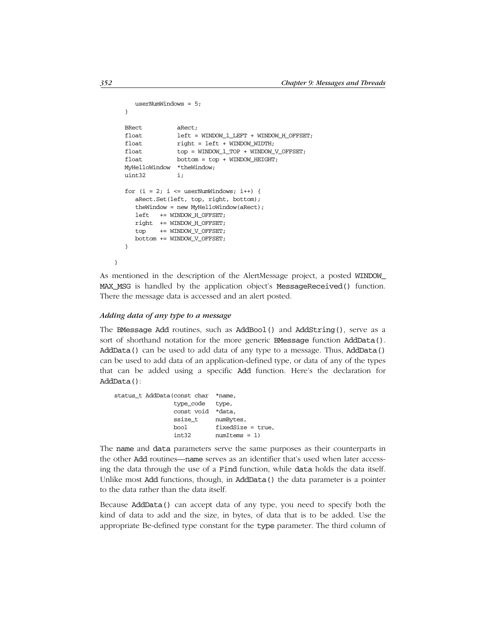```
 userNumWindows = 5;
 }
 BRect aRect;
 float left = WINDOW_1_LEFT + WINDOW_H_OFFSET;
float right = left + WINDOW_MIDTH;float top = WINDOW_1_TOP + WINDOW_V_OFFSET;
float \qquad bottom = top + WINDOW HELGHT; MyHelloWindow *theWindow;
 uint32 i;
for (i = 2; i \leq \text{userNumWindows}; i++) {
   aRect.Set(left, top, right, bottom);
    theWindow = new MyHelloWindow(aRect);
   left += WINDOW_H_OFFSET;
   right += WINDOW_H_OFFSET;
  top += WINDOW V OFFSET;
   bottom += WINDOW_V_OFFSET;
 }
```
As mentioned in the description of the AlertMessage project, a posted WINDOW\_ MAX\_MSG is handled by the application object's MessageReceived() function. There the message data is accessed and an alert posted.

# *Adding data of any type to a message*

The BMessage Add routines, such as AddBool() and AddString(), serve as a sort of shorthand notation for the more generic BMessage function AddData(). AddData() can be used to add data of any type to a message. Thus, AddData() can be used to add data of an application-defined type, or data of any of the types that can be added using a specific Add function. Here's the declaration for AddData():

```
status_t AddData(const char *name,
                type_code type,
                const void *data,
                ssize_t numBytes,
                bool fixedSize = true,
                int32 numItems = 1)
```
The name and data parameters serve the same purposes as their counterparts in the other Add routines—name serves as an identifier that's used when later accessing the data through the use of a Find function, while data holds the data itself. Unlike most Add functions, though, in AddData() the data parameter is a pointer to the data rather than the data itself.

Because AddData() can accept data of any type, you need to specify both the kind of data to add and the size, in bytes, of data that is to be added. Use the appropriate Be-defined type constant for the type parameter. The third column of

}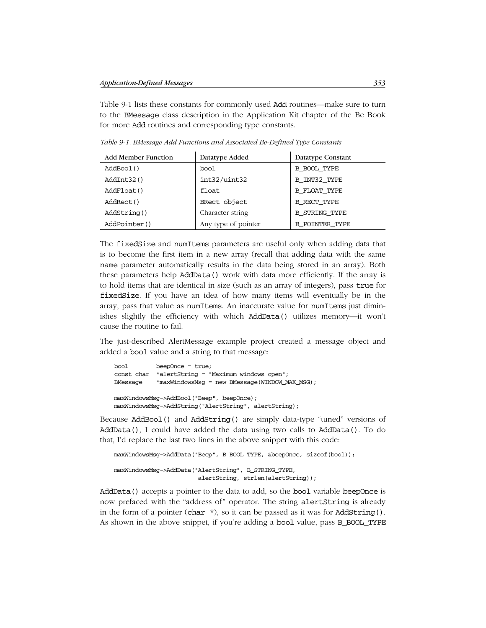Table 9-1 lists these constants for commonly used Add routines—make sure to turn to the BMessage class description in the Application Kit chapter of the Be Book for more Add routines and corresponding type constants.

Add Member Function | Datatype Added | Datatype Constant AddBool() bool B\_BOOL\_TYPE AddInt32() int32/uint32 B\_INT32\_TYPE AddFloat()  $\vert$  float  $\vert$  B\_FLOAT\_TYPE AddRect() BRect object BRECT\_TYPE AddString() Character string B\_STRING\_TYPE AddPointer()  $\qquad$  Any type of pointer  $\qquad$  B POINTER TYPE

*Table 9-1. BMessage Add Functions and Associated Be-Defined Type Constants*

The fixedSize and numItems parameters are useful only when adding data that is to become the first item in a new array (recall that adding data with the same name parameter automatically results in the data being stored in an array). Both these parameters help AddData() work with data more efficiently. If the array is to hold items that are identical in size (such as an array of integers), pass true for fixedSize. If you have an idea of how many items will eventually be in the array, pass that value as numItems. An inaccurate value for numItems just diminishes slightly the efficiency with which AddData() utilizes memory—it won't cause the routine to fail.

The just-described AlertMessage example project created a message object and added a bool value and a string to that message:

| bool       | $beepOnce = true;$                                    |
|------------|-------------------------------------------------------|
| const char | *alertString = "Maximum windows open";                |
| BMessage   | $*$ maxWindowsMsq = new BMessage (WINDOW MAX MSG);    |
|            |                                                       |
|            | maxWindowsMsq->AddBool("Beep", beepOnce);             |
|            | maxWindowsMsq->AddString("AlertString", alertString); |

Because AddBool() and AddString() are simply data-type "tuned" versions of AddData(), I could have added the data using two calls to AddData(). To do that, I'd replace the last two lines in the above snippet with this code:

```
maxWindowsMsg->AddData("Beep", B_BOOL_TYPE, &beepOnce, sizeof(bool));
maxWindowsMsg->AddData("AlertString", B_STRING_TYPE,
                         alertString, strlen(alertString));
```
AddData() accepts a pointer to the data to add, so the bool variable beepOnce is now prefaced with the "address of" operator. The string alertString is already in the form of a pointer (char  $\star$ ), so it can be passed as it was for AddString(). As shown in the above snippet, if you're adding a bool value, pass B\_BOOL\_TYPE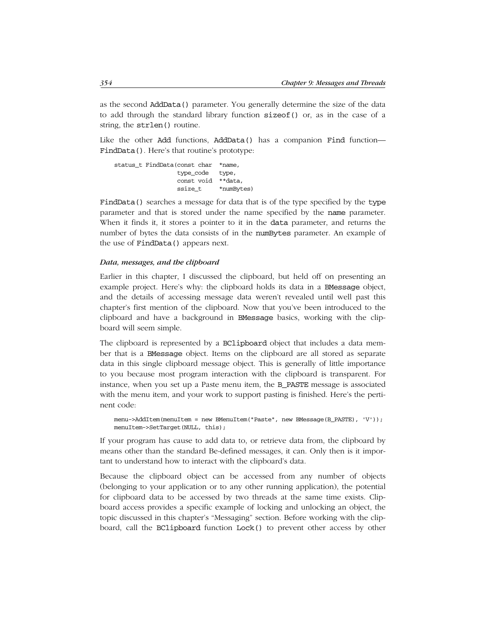as the second AddData() parameter. You generally determine the size of the data to add through the standard library function sizeof() or, as in the case of a string, the strlen() routine.

Like the other Add functions, AddData() has a companion Find function— FindData(). Here's that routine's prototype:

status\_t FindData(const char \*name, type\_code type, const void \*\*data, ssize\_t \*numBytes)

FindData() searches a message for data that is of the type specified by the type parameter and that is stored under the name specified by the name parameter. When it finds it, it stores a pointer to it in the data parameter, and returns the number of bytes the data consists of in the numBytes parameter. An example of the use of FindData() appears next.

# *Data, messages, and the clipboard*

Earlier in this chapter, I discussed the clipboard, but held off on presenting an example project. Here's why: the clipboard holds its data in a BMessage object, and the details of accessing message data weren't revealed until well past this chapter's first mention of the clipboard. Now that you've been introduced to the clipboard and have a background in BMessage basics, working with the clipboard will seem simple.

The clipboard is represented by a BClipboard object that includes a data member that is a BMessage object. Items on the clipboard are all stored as separate data in this single clipboard message object. This is generally of little importance to you because most program interaction with the clipboard is transparent. For instance, when you set up a Paste menu item, the B\_PASTE message is associated with the menu item, and your work to support pasting is finished. Here's the pertinent code:

menu->AddItem(menuItem = new BMenuItem("Paste", new BMessage(B\_PASTE), 'V')); menuItem->SetTarget(NULL, this);

If your program has cause to add data to, or retrieve data from, the clipboard by means other than the standard Be-defined messages, it can. Only then is it important to understand how to interact with the clipboard's data.

Because the clipboard object can be accessed from any number of objects (belonging to your application or to any other running application), the potential for clipboard data to be accessed by two threads at the same time exists. Clipboard access provides a specific example of locking and unlocking an object, the topic discussed in this chapter's "Messaging" section. Before working with the clipboard, call the BClipboard function Lock() to prevent other access by other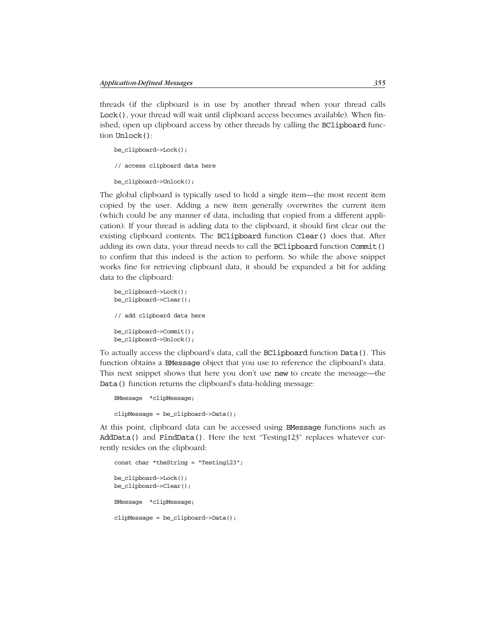threads (if the clipboard is in use by another thread when your thread calls Lock(), your thread will wait until clipboard access becomes available). When finished, open up clipboard access by other threads by calling the BClipboard function Unlock():

```
be_clipboard->Lock();
// access clipboard data here
be_clipboard->Unlock();
```
The global clipboard is typically used to hold a single item—the most recent item copied by the user. Adding a new item generally overwrites the current item (which could be any manner of data, including that copied from a different application). If your thread is adding data to the clipboard, it should first clear out the existing clipboard contents. The BClipboard function Clear() does that. After adding its own data, your thread needs to call the BClipboard function Commit() to confirm that this indeed is the action to perform. So while the above snippet works fine for retrieving clipboard data, it should be expanded a bit for adding data to the clipboard:

```
be_clipboard->Lock();
be_clipboard->Clear();
// add clipboard data here
be_clipboard->Commit();
be_clipboard->Unlock();
```
To actually access the clipboard's data, call the BClipboard function Data(). This function obtains a BMessage object that you use to reference the clipboard's data. This next snippet shows that here you don't use new to create the message—the Data() function returns the clipboard's data-holding message:

```
BMessage *clipMessage;
clipMessage = be_clipboard->Data();
```
At this point, clipboard data can be accessed using BMessage functions such as AddData() and FindData(). Here the text "Testing123" replaces whatever currently resides on the clipboard:

```
const char *theString = "Testing123";
be_clipboard->Lock();
be_clipboard->Clear();
BMessage *clipMessage;
clipMessage = be_clipboard->Data();
```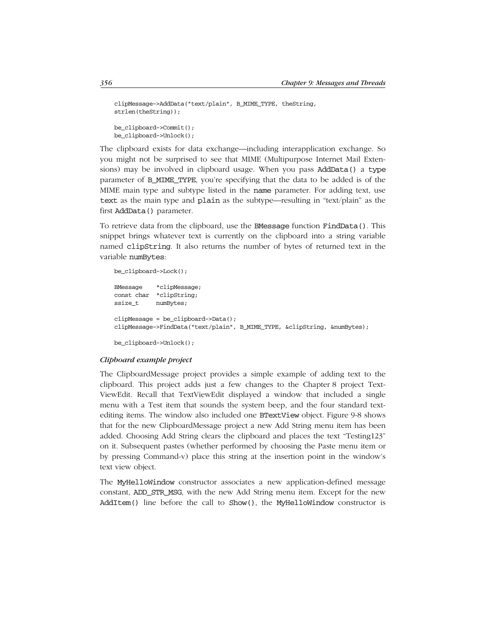```
clipMessage->AddData("text/plain", B_MIME_TYPE, theString,
strlen(theString));
be_clipboard->Commit();
be_clipboard->Unlock();
```
The clipboard exists for data exchange—including interapplication exchange. So you might not be surprised to see that MIME (Multipurpose Internet Mail Extensions) may be involved in clipboard usage. When you pass AddData() a type parameter of B\_MIME\_TYPE, you're specifying that the data to be added is of the MIME main type and subtype listed in the name parameter. For adding text, use text as the main type and plain as the subtype—resulting in "text/plain" as the first AddData() parameter.

To retrieve data from the clipboard, use the BMessage function FindData(). This snippet brings whatever text is currently on the clipboard into a string variable named clipString. It also returns the number of bytes of returned text in the variable numBytes:

```
be_clipboard->Lock();
BMessage *clipMessage;
const char *clipString;
ssize_t numBytes;
clipMessage = be clipboard->Data();
clipMessage->FindData("text/plain", B_MIME_TYPE, &clipString, &numBytes);
be_clipboard->Unlock();
```
### *Clipboard example project*

The ClipboardMessage project provides a simple example of adding text to the clipboard. This project adds just a few changes to the Chapter 8 project Text-ViewEdit. Recall that TextViewEdit displayed a window that included a single menu with a Test item that sounds the system beep, and the four standard textediting items. The window also included one BTextView object. Figure 9-8 shows that for the new ClipboardMessage project a new Add String menu item has been added. Choosing Add String clears the clipboard and places the text "Testing123" on it. Subsequent pastes (whether performed by choosing the Paste menu item or by pressing Command-v) place this string at the insertion point in the window's text view object.

The MyHelloWindow constructor associates a new application-defined message constant, ADD\_STR\_MSG, with the new Add String menu item. Except for the new AddItem() line before the call to Show(), the MyHelloWindow constructor is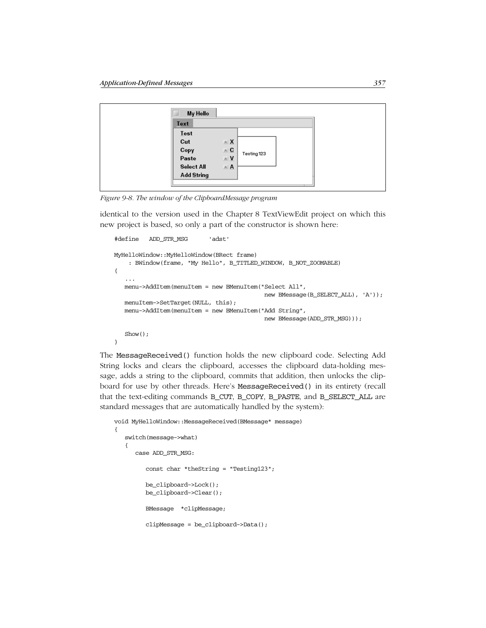| <b>My Hello</b><br>Text                                                |                                                                           |             |
|------------------------------------------------------------------------|---------------------------------------------------------------------------|-------------|
| Test<br>Cut<br>Copy<br>Paste<br><b>Select All</b><br><b>Add String</b> | $A$ $X$<br>$\mathbb{A} \subseteq$<br>$\mathbb{A}$ $\mathbf{V}$<br>$A$ $A$ | Testing 123 |

*Figure 9-8. The window of the ClipboardMessage program*

identical to the version used in the Chapter 8 TextViewEdit project on which this new project is based, so only a part of the constructor is shown here:

```
#define ADD_STR_MSG 'adst'
MyHelloWindow::MyHelloWindow(BRect frame)
     : BWindow(frame, "My Hello", B_TITLED_WINDOW, B_NOT_ZOOMABLE)
{
    ...
   menu->AddItem(menuItem = new BMenuItem("Select All",
                                            new BMessage(B_SELECT_ALL), 'A'));
   menuItem->SetTarget(NULL, this);
   menu->AddItem(menuItem = new BMenuItem("Add String",
                                            new BMessage(ADD_STR_MSG)));
   Show();
}
```
The MessageReceived() function holds the new clipboard code. Selecting Add String locks and clears the clipboard, accesses the clipboard data-holding message, adds a string to the clipboard, commits that addition, then unlocks the clipboard for use by other threads. Here's MessageReceived() in its entirety (recall that the text-editing commands B\_CUT, B\_COPY, B\_PASTE, and B\_SELECT\_ALL are standard messages that are automatically handled by the system):

```
void MyHelloWindow::MessageReceived(BMessage* message)
{
    switch(message->what)
    {
       case ADD_STR_MSG:
          const char *theString = "Testing123";
          be_clipboard->Lock();
          be_clipboard->Clear();
          BMessage *clipMessage;
          clipMessage = be_clipboard->Data();
```